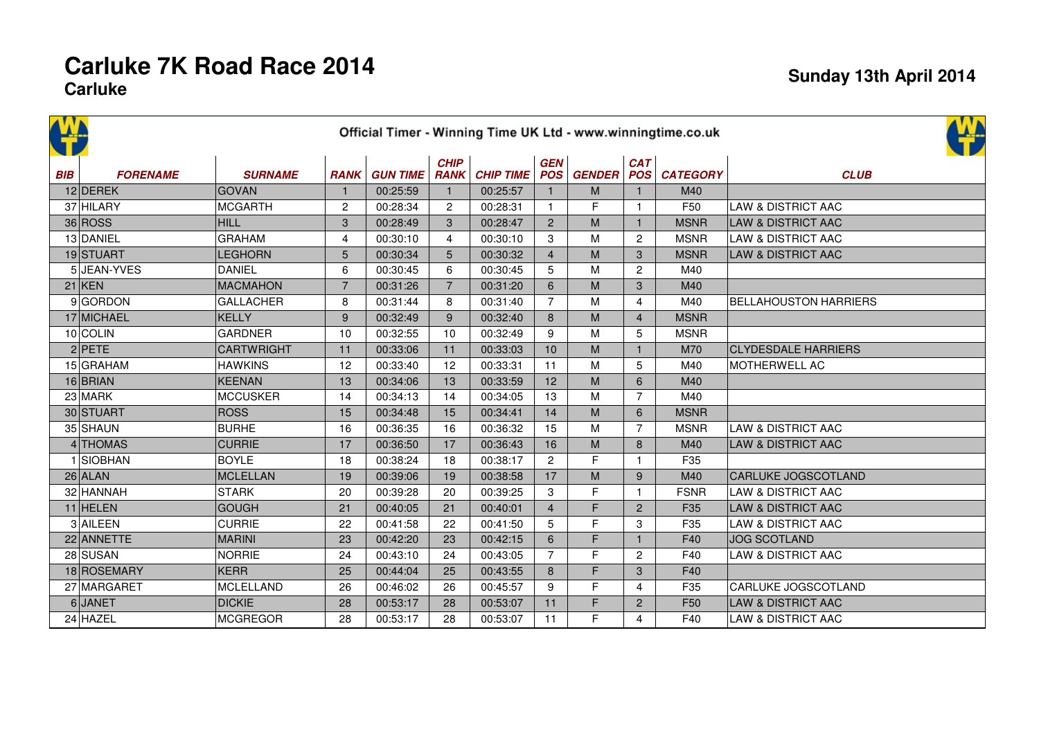## **Carluke 7K Road Race 2014Carluke**

|            | <u>ИД</u><br>Official Timer - Winning Time UK Ltd - www.winningtime.co.uk |                   |                |                 |                            |                  |                |                   |                   |                 |                               |  |
|------------|---------------------------------------------------------------------------|-------------------|----------------|-----------------|----------------------------|------------------|----------------|-------------------|-------------------|-----------------|-------------------------------|--|
| <b>BIB</b> | <b>FORENAME</b>                                                           | <b>SURNAME</b>    | <b>RANK</b>    | <b>GUN TIME</b> | <b>CHIP</b><br><b>RANK</b> | <b>CHIP TIME</b> | <b>GEN</b>     | <b>POS GENDER</b> | CAT<br><b>POS</b> | <b>CATEGORY</b> | <b>CLUB</b>                   |  |
|            | 12 DEREK                                                                  | <b>GOVAN</b>      | $\mathbf 1$    | 00:25:59        | $\mathbf{1}$               | 00:25:57         | $\mathbf{1}$   | M                 | $\mathbf{1}$      | M40             |                               |  |
|            | 37 HILARY                                                                 | <b>MCGARTH</b>    | $\overline{c}$ | 00:28:34        | $\overline{2}$             | 00:28:31         | $\mathbf{1}$   | F                 | $\mathbf{1}$      | F <sub>50</sub> | <b>LAW &amp; DISTRICT AAC</b> |  |
|            | 36 ROS                                                                    | <b>HILL</b>       | 3              | 00:28:49        | 3                          | 00:28:47         | $\overline{2}$ | M                 | $\mathbf{1}$      | <b>MSNR</b>     | <b>LAW &amp; DISTRICT AAC</b> |  |
|            | 13 DANIEL                                                                 | <b>GRAHAM</b>     | $\overline{4}$ | 00:30:10        | $\overline{4}$             | 00:30:10         | 3              | M                 | 2                 | <b>MSNR</b>     | LAW & DISTRICT AAC            |  |
|            | 19 STUART                                                                 | <b>LEGHORN</b>    | 5              | 00:30:34        | $5\phantom{.0}$            | 00:30:32         | $\overline{4}$ | M                 | 3                 | <b>MSNR</b>     | <b>LAW &amp; DISTRICT AAC</b> |  |
|            | 5 JEAN-YVES                                                               | <b>DANIEL</b>     | 6              | 00:30:45        | 6                          | 00:30:45         | 5              | M                 | 2                 | M40             |                               |  |
|            | $21$ KEN                                                                  | <b>MACMAHON</b>   | $\overline{7}$ | 00:31:26        | $\overline{7}$             | 00:31:20         | 6              | M                 | 3                 | M40             |                               |  |
|            | 9GORDON                                                                   | <b>GALLACHER</b>  | 8              | 00:31:44        | 8                          | 00:31:40         | $\overline{7}$ | M                 | 4                 | M40             | <b>BELLAHOUSTON HARRIERS</b>  |  |
|            | 17 MICHAEL                                                                | <b>KELLY</b>      | 9              | 00:32:49        | 9                          | 00:32:40         | 8              | M                 | $\overline{4}$    | <b>MSNR</b>     |                               |  |
|            | 10 COLIN                                                                  | <b>GARDNER</b>    | 10             | 00:32:55        | 10                         | 00:32:49         | 9              | M                 | 5                 | <b>MSNR</b>     |                               |  |
|            | $2$ PETE                                                                  | <b>CARTWRIGHT</b> | 11             | 00:33:06        | 11                         | 00:33:03         | 10             | M                 | $\mathbf{1}$      | M70             | <b>CLYDESDALE HARRIERS</b>    |  |
|            | 15 GRAHAM                                                                 | <b>HAWKINS</b>    | 12             | 00:33:40        | 12                         | 00:33:31         | 11             | M                 | 5                 | M40             | <b>MOTHERWELL AC</b>          |  |
|            | 16 BRIAN                                                                  | <b>KEENAN</b>     | 13             | 00:34:06        | 13                         | 00:33:59         | 12             | M                 | 6                 | M40             |                               |  |
|            | 23 MARK                                                                   | <b>MCCUSKER</b>   | 14             | 00:34:13        | 14                         | 00:34:05         | 13             | M                 | $\overline{7}$    | M40             |                               |  |
|            | 30 STUART                                                                 | <b>ROSS</b>       | 15             | 00:34:48        | 15                         | 00:34:41         | 14             | M                 | 6                 | <b>MSNR</b>     |                               |  |
|            | 35 SHAUN                                                                  | <b>BURHE</b>      | 16             | 00:36:35        | 16                         | 00:36:32         | 15             | M                 | $\overline{7}$    | <b>MSNR</b>     | <b>LAW &amp; DISTRICT AAC</b> |  |
|            | 4 THOMAS                                                                  | <b>CURRIE</b>     | 17             | 00:36:50        | 17                         | 00:36:43         | 16             | M                 | 8                 | M40             | <b>LAW &amp; DISTRICT AAC</b> |  |
|            | 1 SIOBHAN                                                                 | <b>BOYLE</b>      | 18             | 00:38:24        | 18                         | 00:38:17         | $\mathbf{2}$   | F                 | $\mathbf{1}$      | F35             |                               |  |
|            | $26$ ALAN                                                                 | <b>MCLELLAN</b>   | 19             | 00:39:06        | 19                         | 00:38:58         | 17             | M                 | 9                 | M40             | CARLUKE JOGSCOTLAND           |  |
|            | 32 HANNAH                                                                 | <b>STARK</b>      | 20             | 00:39:28        | 20                         | 00:39:25         | 3              | F                 |                   | <b>FSNR</b>     | <b>LAW &amp; DISTRICT AAC</b> |  |
|            | $11$ HELEN                                                                | <b>GOUGH</b>      | 21             | 00:40:05        | 21                         | 00:40:01         | $\overline{4}$ | F                 | 2                 | F35             | <b>LAW &amp; DISTRICT AAC</b> |  |
|            | 3 AILEEN                                                                  | <b>CURRIE</b>     | 22             | 00:41:58        | 22                         | 00:41:50         | 5              | F                 | 3                 | F35             | LAW & DISTRICT AAC            |  |
|            | 22 ANNETTE                                                                | <b>MARINI</b>     | 23             | 00:42:20        | 23                         | 00:42:15         | 6              | F                 | $\mathbf{1}$      | F40             | <b>JOG SCOTLAND</b>           |  |
|            | 28 SUSAN                                                                  | <b>NORRIE</b>     | 24             | 00:43:10        | 24                         | 00:43:05         | $\overline{7}$ | F                 | 2                 | F40             | LAW & DISTRICT AAC            |  |
|            | 18 ROSEMARY                                                               | <b>KERR</b>       | 25             | 00:44:04        | 25                         | 00:43:55         | 8              | F.                | 3                 | F40             |                               |  |
|            | 27 MARGARET                                                               | <b>MCLELLAND</b>  | 26             | 00:46:02        | 26                         | 00:45:57         | 9              | F                 | $\overline{4}$    | F35             | CARLUKE JOGSCOTLAND           |  |
|            | $6$ JANET                                                                 | <b>DICKIE</b>     | 28             | 00:53:17        | 28                         | 00:53:07         | 11             | F                 | $\overline{2}$    | F <sub>50</sub> | <b>LAW &amp; DISTRICT AAC</b> |  |
|            | 24 HAZEL                                                                  | <b>MCGREGOR</b>   | 28             | 00:53:17        | 28                         | 00:53:07         | 11             | F                 | 4                 | F40             | <b>LAW &amp; DISTRICT AAC</b> |  |